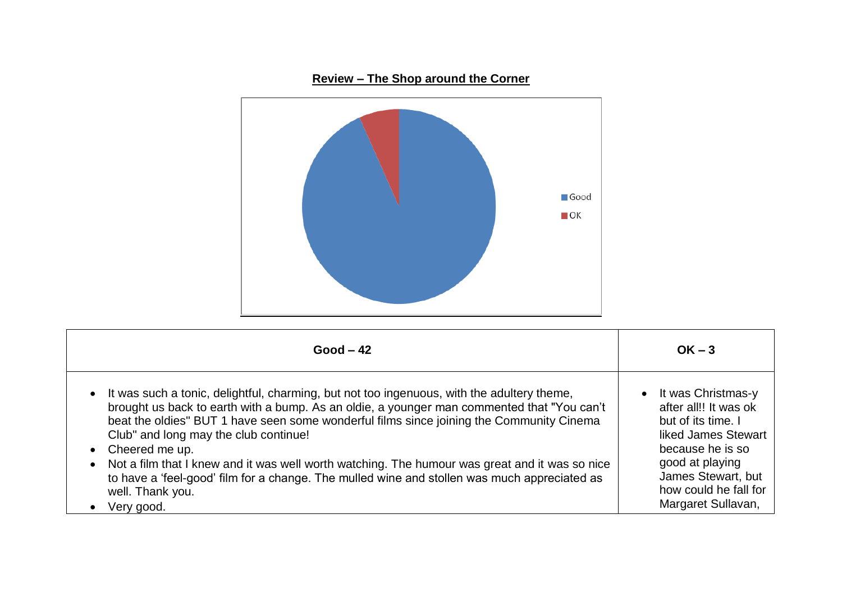

| $Good - 42$                                                                                                                                                                                                                                                                                                                                                                                                                                                                                                                                                                                                                  | $OK - 3$                                                                                                                                                                                               |
|------------------------------------------------------------------------------------------------------------------------------------------------------------------------------------------------------------------------------------------------------------------------------------------------------------------------------------------------------------------------------------------------------------------------------------------------------------------------------------------------------------------------------------------------------------------------------------------------------------------------------|--------------------------------------------------------------------------------------------------------------------------------------------------------------------------------------------------------|
| It was such a tonic, delightful, charming, but not too ingenuous, with the adultery theme,<br>$\bullet$<br>brought us back to earth with a bump. As an oldie, a younger man commented that "You can't<br>beat the oldies" BUT 1 have seen some wonderful films since joining the Community Cinema<br>Club" and long may the club continue!<br>Cheered me up.<br>$\bullet$<br>• Not a film that I knew and it was well worth watching. The humour was great and it was so nice<br>to have a 'feel-good' film for a change. The mulled wine and stollen was much appreciated as<br>well. Thank you.<br>Very good.<br>$\bullet$ | • It was Christmas-y<br>after all!! It was ok<br>but of its time. I<br>liked James Stewart<br>because he is so<br>good at playing<br>James Stewart, but<br>how could he fall for<br>Margaret Sullavan, |

## **Review – The Shop around the Corner**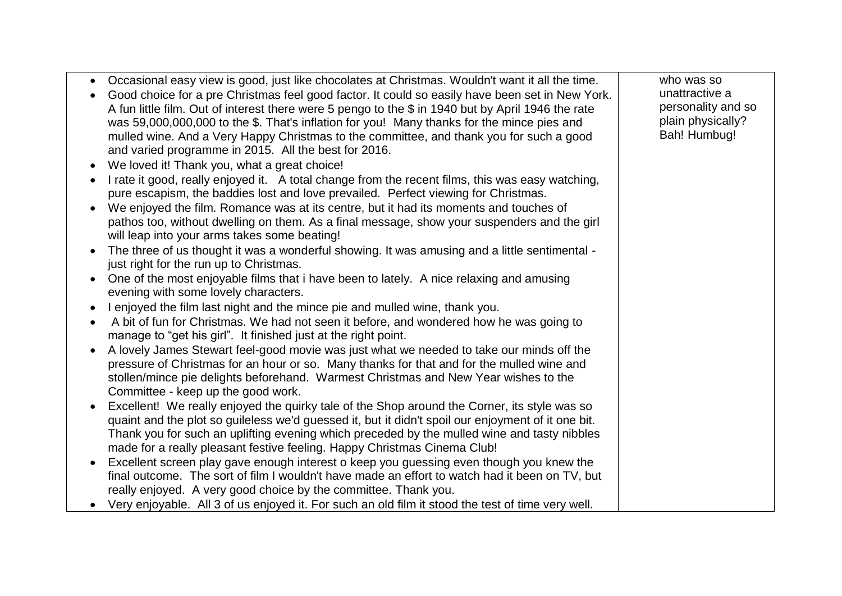| who was so<br>Occasional easy view is good, just like chocolates at Christmas. Wouldn't want it all the time.<br>$\bullet$<br>unattractive a<br>Good choice for a pre Christmas feel good factor. It could so easily have been set in New York.<br>personality and so<br>A fun little film. Out of interest there were 5 pengo to the \$ in 1940 but by April 1946 the rate<br>plain physically?<br>was 59,000,000,000 to the \$. That's inflation for you! Many thanks for the mince pies and<br>Bah! Humbug!<br>mulled wine. And a Very Happy Christmas to the committee, and thank you for such a good<br>and varied programme in 2015. All the best for 2016. |
|-------------------------------------------------------------------------------------------------------------------------------------------------------------------------------------------------------------------------------------------------------------------------------------------------------------------------------------------------------------------------------------------------------------------------------------------------------------------------------------------------------------------------------------------------------------------------------------------------------------------------------------------------------------------|
|                                                                                                                                                                                                                                                                                                                                                                                                                                                                                                                                                                                                                                                                   |
| We loved it! Thank you, what a great choice!<br>$\bullet$                                                                                                                                                                                                                                                                                                                                                                                                                                                                                                                                                                                                         |
| I rate it good, really enjoyed it. A total change from the recent films, this was easy watching,<br>pure escapism, the baddies lost and love prevailed. Perfect viewing for Christmas.                                                                                                                                                                                                                                                                                                                                                                                                                                                                            |
| We enjoyed the film. Romance was at its centre, but it had its moments and touches of<br>pathos too, without dwelling on them. As a final message, show your suspenders and the girl<br>will leap into your arms takes some beating!                                                                                                                                                                                                                                                                                                                                                                                                                              |
| The three of us thought it was a wonderful showing. It was amusing and a little sentimental -<br>just right for the run up to Christmas.                                                                                                                                                                                                                                                                                                                                                                                                                                                                                                                          |
| One of the most enjoyable films that i have been to lately. A nice relaxing and amusing<br>$\bullet$<br>evening with some lovely characters.                                                                                                                                                                                                                                                                                                                                                                                                                                                                                                                      |
| I enjoyed the film last night and the mince pie and mulled wine, thank you.                                                                                                                                                                                                                                                                                                                                                                                                                                                                                                                                                                                       |
| A bit of fun for Christmas. We had not seen it before, and wondered how he was going to<br>manage to "get his girl". It finished just at the right point.                                                                                                                                                                                                                                                                                                                                                                                                                                                                                                         |
| A lovely James Stewart feel-good movie was just what we needed to take our minds off the<br>pressure of Christmas for an hour or so. Many thanks for that and for the mulled wine and<br>stollen/mince pie delights beforehand. Warmest Christmas and New Year wishes to the<br>Committee - keep up the good work.                                                                                                                                                                                                                                                                                                                                                |
| Excellent! We really enjoyed the quirky tale of the Shop around the Corner, its style was so<br>quaint and the plot so guileless we'd guessed it, but it didn't spoil our enjoyment of it one bit.<br>Thank you for such an uplifting evening which preceded by the mulled wine and tasty nibbles                                                                                                                                                                                                                                                                                                                                                                 |
| made for a really pleasant festive feeling. Happy Christmas Cinema Club!                                                                                                                                                                                                                                                                                                                                                                                                                                                                                                                                                                                          |
| Excellent screen play gave enough interest o keep you guessing even though you knew the                                                                                                                                                                                                                                                                                                                                                                                                                                                                                                                                                                           |
| final outcome. The sort of film I wouldn't have made an effort to watch had it been on TV, but<br>really enjoyed. A very good choice by the committee. Thank you.                                                                                                                                                                                                                                                                                                                                                                                                                                                                                                 |
| Very enjoyable. All 3 of us enjoyed it. For such an old film it stood the test of time very well.                                                                                                                                                                                                                                                                                                                                                                                                                                                                                                                                                                 |